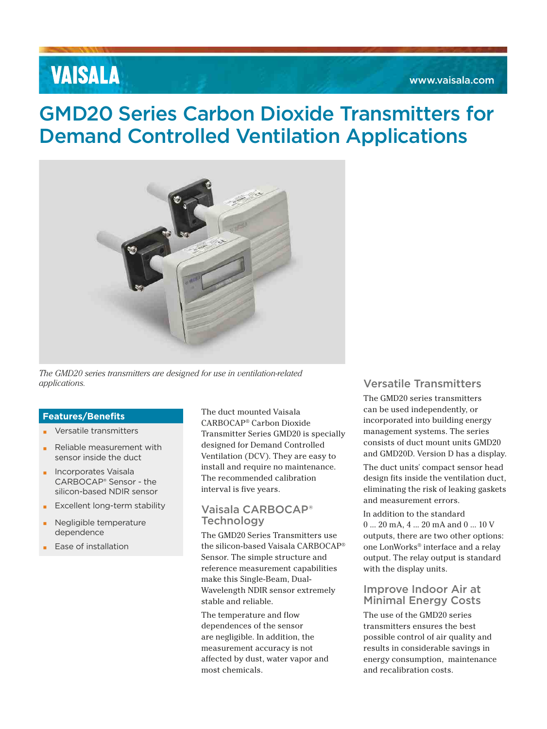# **VAISALA**

## GMD20 Series Carbon Dioxide Transmitters for Demand Controlled Ventilation Applications



*The GMD20 series transmitters are designed for use in ventilation-related applications.* Versatile Transmitters

#### **Features/Benefits**

- Versatile transmitters
- Reliable measurement with sensor inside the duct
- Incorporates Vaisala CARBOCAP® Sensor - the silicon-based NDIR sensor
- **Excellent long-term stability**
- Negligible temperature dependence
- Ease of installation

The duct mounted Vaisala CARBOCAP® Carbon Dioxide Transmitter Series GMD20 is specially designed for Demand Controlled Ventilation (DCV). They are easy to install and require no maintenance. The recommended calibration interval is five years.

### Vaisala CARBOCAP® **Technology**

The GMD20 Series Transmitters use the silicon-based Vaisala CARBOCAP® Sensor. The simple structure and reference measurement capabilities make this Single-Beam, Dual-Wavelength NDIR sensor extremely stable and reliable.

The temperature and flow dependences of the sensor are negligible. In addition, the measurement accuracy is not affected by dust, water vapor and most chemicals.

The GMD20 series transmitters can be used independently, or incorporated into building energy management systems. The series consists of duct mount units GMD20 and GMD20D. Version D has a display.

The duct units' compact sensor head design fits inside the ventilation duct, eliminating the risk of leaking gaskets and measurement errors.

In addition to the standard 0 ... 20 mA, 4 ... 20 mA and 0 ... 10 V outputs, there are two other options: one LonWorks® interface and a relay output. The relay output is standard with the display units.

#### Improve Indoor Air at Minimal Energy Costs

The use of the GMD20 series transmitters ensures the best possible control of air quality and results in considerable savings in energy consumption, maintenance and recalibration costs.